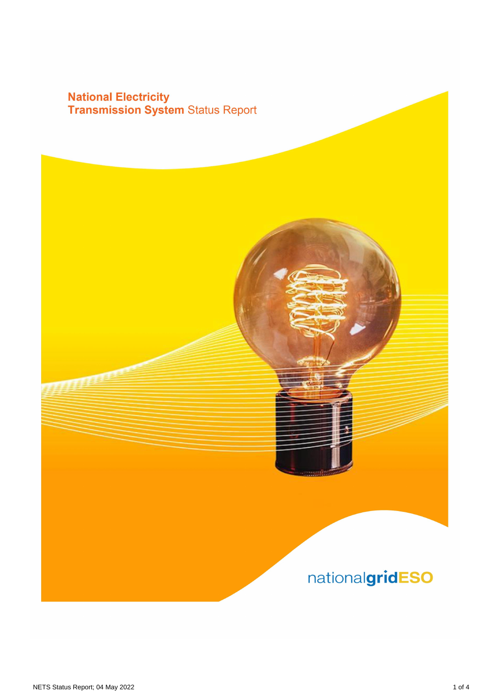# **National Electricity<br>Transmission System Status Report**

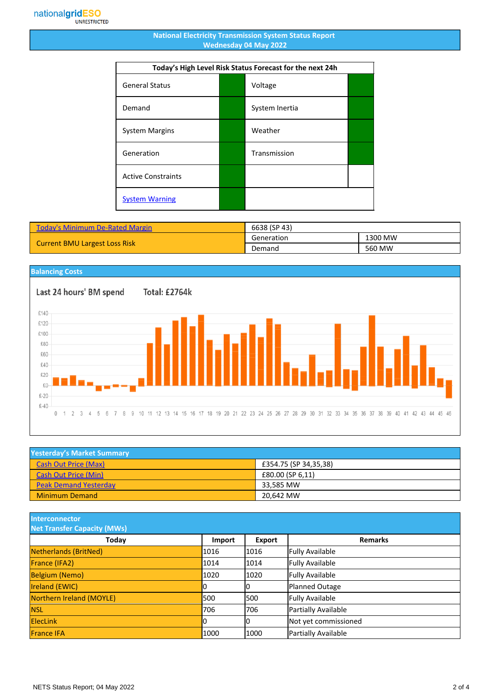#### **National Electricity Transmission System Status Report Wednesday 04 May 2022**

| Today's High Level Risk Status Forecast for the next 24h |  |                |  |
|----------------------------------------------------------|--|----------------|--|
| <b>General Status</b>                                    |  | Voltage        |  |
| Demand                                                   |  | System Inertia |  |
| <b>System Margins</b>                                    |  | Weather        |  |
| Generation                                               |  | Transmission   |  |
| <b>Active Constraints</b>                                |  |                |  |
| <b>System Warning</b>                                    |  |                |  |

| <b>Today's Minimum De-Rated Margin</b> | 6638 (SP 43) |         |
|----------------------------------------|--------------|---------|
| <b>Current BMU Largest Loss Risk</b>   | Generation   | 1300 MW |
|                                        | Demand       | 560 MW  |

### **Balancing Costs**

Last 24 hours' BM spend Total: £2764k £140 £120 £100 £80 £60 £40 £20  $£0 £-20$  $£-40$  $0 \t1 \t2 \t3 \t4$ 5 6 7 8 9 10 11 12 13 14 15 16 17 18 19 20 21 22 23 24 25 26 27 28 29 30 31 32 33 34 35 36 37 38 39 40 41 42 43 44 45 46

| <b>Yesterday's Market Summary</b> |                       |  |
|-----------------------------------|-----------------------|--|
| <b>Cash Out Price (Max)</b>       | £354.75 (SP 34,35,38) |  |
| Cash Out Price (Min)              | £80.00 (SP 6,11)      |  |
| <b>Peak Demand Yesterday</b>      | 33.585 MW             |  |
| <b>Minimum Demand</b>             | 20.642 MW             |  |

**Interconnector**

| <b>Net Transfer Capacity (MWs)</b> |        |               |                        |
|------------------------------------|--------|---------------|------------------------|
| <b>Today</b>                       | Import | <b>Export</b> | <b>Remarks</b>         |
| Netherlands (BritNed)              | 1016   | 1016          | <b>Fully Available</b> |
| France (IFA2)                      | 1014   | 1014          | <b>Fully Available</b> |
| <b>Belgium (Nemo)</b>              | 1020   | 1020          | <b>Fully Available</b> |
| Ireland (EWIC)                     | 10     |               | Planned Outage         |
| Northern Ireland (MOYLE)           | 500    | l500          | <b>Fully Available</b> |
| <b>NSL</b>                         | 706    | 706           | Partially Available    |
| <b>ElecLink</b>                    | 10     |               | Not yet commissioned   |
| <b>France IFA</b>                  | 1000   | 1000          | Partially Available    |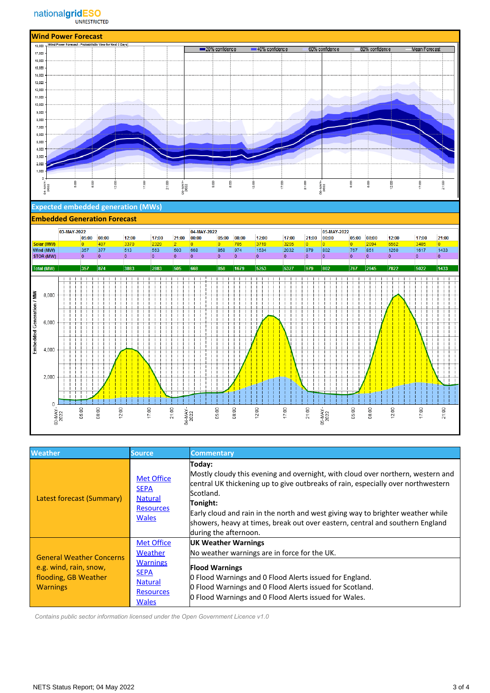

#### **Expected embedded generation (MWs)**

#### **Embedded Generation Forecast**



| <b>Weather</b>                                                                                       | Source,                                                                                                              | <b>Commentary</b>                                                                                                                                                                                                                                                                                                                                                                                   |
|------------------------------------------------------------------------------------------------------|----------------------------------------------------------------------------------------------------------------------|-----------------------------------------------------------------------------------------------------------------------------------------------------------------------------------------------------------------------------------------------------------------------------------------------------------------------------------------------------------------------------------------------------|
| Latest forecast (Summary)                                                                            | <b>Met Office</b><br><b>SEPA</b><br><b>Natural</b><br><b>Resources</b><br><b>Wales</b>                               | Today:<br>Mostly cloudy this evening and overnight, with cloud over northern, western and<br>central UK thickening up to give outbreaks of rain, especially over northwestern<br>Scotland.<br>Tonight:<br>Early cloud and rain in the north and west giving way to brighter weather while<br>showers, heavy at times, break out over eastern, central and southern England<br>during the afternoon. |
| <b>General Weather Concerns</b><br>e.g. wind, rain, snow,<br>flooding, GB Weather<br><b>Warnings</b> | <b>Met Office</b><br>Weather<br><b>Warnings</b><br><b>SEPA</b><br><b>Natural</b><br><b>Resources</b><br><b>Wales</b> | <b>UK Weather Warnings</b><br>No weather warnings are in force for the UK.                                                                                                                                                                                                                                                                                                                          |
|                                                                                                      |                                                                                                                      | <b>Flood Warnings</b><br><b>O</b> Flood Warnings and O Flood Alerts issued for England.<br>O Flood Warnings and O Flood Alerts issued for Scotland.<br>O Flood Warnings and O Flood Alerts issued for Wales.                                                                                                                                                                                        |

 *Contains public sector information licensed under the Open Government Licence v1.0*